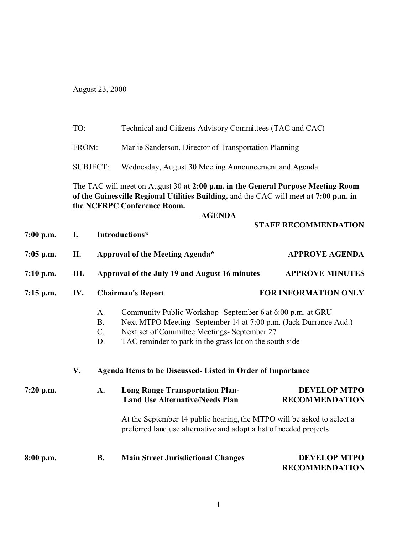August 23, 2000

|             | TO:<br>FROM:                                                                                                                                                                                            |                                                                                                                                              | Technical and Citizens Advisory Committees (TAC and CAC)                                                                                                                                                                                  |                                              |  |  |
|-------------|---------------------------------------------------------------------------------------------------------------------------------------------------------------------------------------------------------|----------------------------------------------------------------------------------------------------------------------------------------------|-------------------------------------------------------------------------------------------------------------------------------------------------------------------------------------------------------------------------------------------|----------------------------------------------|--|--|
|             |                                                                                                                                                                                                         |                                                                                                                                              | Marlie Sanderson, Director of Transportation Planning                                                                                                                                                                                     |                                              |  |  |
|             |                                                                                                                                                                                                         | <b>SUBJECT:</b>                                                                                                                              | Wednesday, August 30 Meeting Announcement and Agenda                                                                                                                                                                                      |                                              |  |  |
|             | The TAC will meet on August 30 at 2:00 p.m. in the General Purpose Meeting Room<br>of the Gainesville Regional Utilities Building. and the CAC will meet at 7:00 p.m. in<br>the NCFRPC Conference Room. |                                                                                                                                              |                                                                                                                                                                                                                                           |                                              |  |  |
|             |                                                                                                                                                                                                         |                                                                                                                                              | <b>AGENDA</b>                                                                                                                                                                                                                             |                                              |  |  |
| 7:00 p.m.   | I.                                                                                                                                                                                                      |                                                                                                                                              | Introductions*                                                                                                                                                                                                                            | <b>STAFF RECOMMENDATION</b>                  |  |  |
| 7:05 p.m.   | П.                                                                                                                                                                                                      |                                                                                                                                              | Approval of the Meeting Agenda*                                                                                                                                                                                                           | <b>APPROVE AGENDA</b>                        |  |  |
| 7:10 p.m.   | III.                                                                                                                                                                                                    |                                                                                                                                              | Approval of the July 19 and August 16 minutes                                                                                                                                                                                             | <b>APPROVE MINUTES</b>                       |  |  |
| 7:15 p.m.   | IV.                                                                                                                                                                                                     |                                                                                                                                              | <b>Chairman's Report</b>                                                                                                                                                                                                                  | FOR INFORMATION ONLY                         |  |  |
|             |                                                                                                                                                                                                         | A.<br><b>B.</b><br>$C_{\cdot}$<br>D.                                                                                                         | Community Public Workshop- September 6 at 6:00 p.m. at GRU<br>Next MTPO Meeting-September 14 at 7:00 p.m. (Jack Durrance Aud.)<br>Next set of Committee Meetings- September 27<br>TAC reminder to park in the grass lot on the south side |                                              |  |  |
|             | V.                                                                                                                                                                                                      | Agenda Items to be Discussed- Listed in Order of Importance                                                                                  |                                                                                                                                                                                                                                           |                                              |  |  |
| $7:20$ p.m. |                                                                                                                                                                                                         | A.                                                                                                                                           | <b>Long Range Transportation Plan-</b><br><b>Land Use Alternative/Needs Plan</b>                                                                                                                                                          | <b>DEVELOP MTPO</b><br><b>RECOMMENDATION</b> |  |  |
|             |                                                                                                                                                                                                         | At the September 14 public hearing, the MTPO will be asked to select a<br>preferred land use alternative and adopt a list of needed projects |                                                                                                                                                                                                                                           |                                              |  |  |
| 8:00 p.m.   |                                                                                                                                                                                                         | <b>B.</b>                                                                                                                                    | <b>Main Street Jurisdictional Changes</b>                                                                                                                                                                                                 | <b>DEVELOP MTPO</b><br><b>RECOMMENDATION</b> |  |  |
|             |                                                                                                                                                                                                         |                                                                                                                                              |                                                                                                                                                                                                                                           |                                              |  |  |